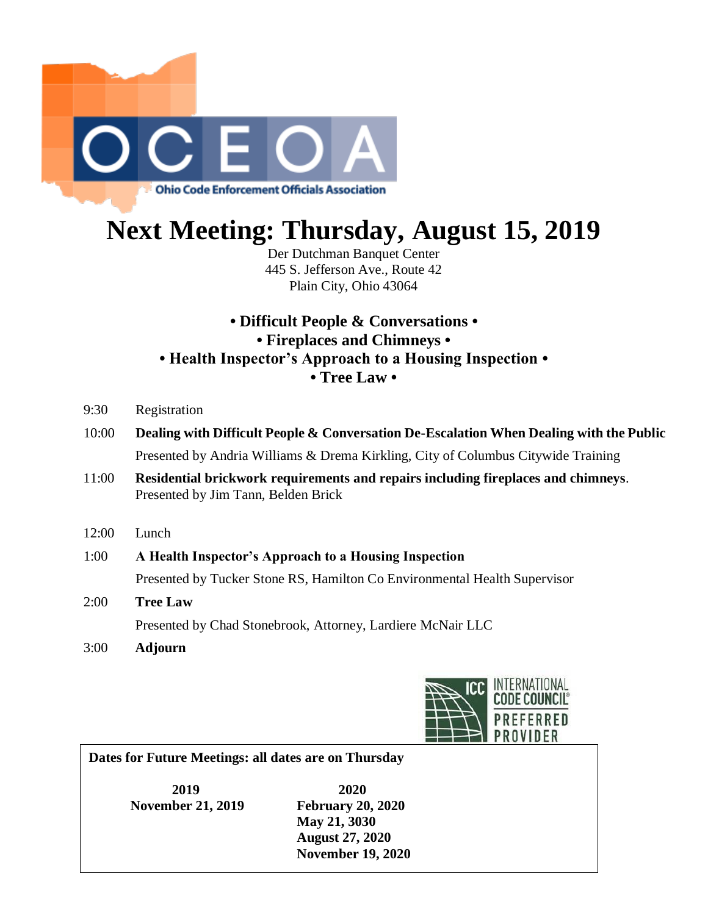

## **Next Meeting: Thursday, August 15, 2019**

Der Dutchman Banquet Center 445 S. Jefferson Ave., Route 42 Plain City, Ohio 43064

## **• Difficult People & Conversations • • Fireplaces and Chimneys • • Health Inspector's Approach to a Housing Inspection • • Tree Law •**

- 9:30 Registration
- 10:00 **Dealing with Difficult People & Conversation De-Escalation When Dealing with the Public** Presented by Andria Williams & Drema Kirkling, City of Columbus Citywide Training
- 11:00 **Residential brickwork requirements and repairs including fireplaces and chimneys**. Presented by Jim Tann, Belden Brick
- 12:00 Lunch
- 1:00 **A Health Inspector's Approach to a Housing Inspection** Presented by Tucker Stone RS, Hamilton Co Environmental Health Supervisor
- 2:00 **Tree Law** Presented by Chad Stonebrook, Attorney, Lardiere McNair LLC
- 3:00 **Adjourn**



**Dates for Future Meetings: all dates are on Thursday**

**2019 2020 November 21, 2019 February 20, 2020 May 21, 3030 August 27, 2020 November 19, 2020**